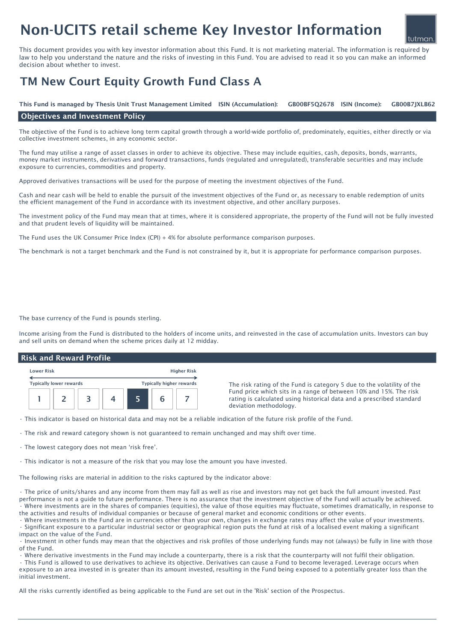# Non-UCITS retail scheme Key Investor Information

This document provides you with key investor information about this Fund. It is not marketing material. The information is required by law to help you understand the nature and the risks of investing in this Fund. You are advised to read it so you can make an informed decision about whether to invest.

## TM New Court Equity Growth Fund Class A

GB00BF5O2678 ISIN (Income): This Fund is managed by Thesis Unit Trust Management Limited ISIN (Accumulation): GB00BF5Q2678 ISIN (Income): GB00B7JXLB62

### Objectives and Investment Policy

The objective of the Fund is to achieve long term capital growth through a world-wide portfolio of, predominately, equities, either directly or via collective investment schemes, in any economic sector.

The fund may utilise a range of asset classes in order to achieve its objective. These may include equities, cash, deposits, bonds, warrants, money market instruments, derivatives and forward transactions, funds (regulated and unregulated), transferable securities and may include exposure to currencies, commodities and property.

Approved derivatives transactions will be used for the purpose of meeting the investment objectives of the Fund.

Cash and near cash will be held to enable the pursuit of the investment objectives of the Fund or, as necessary to enable redemption of units the efficient management of the Fund in accordance with its investment objective, and other ancillary purposes.

The investment policy of the Fund may mean that at times, where it is considered appropriate, the property of the Fund will not be fully invested and that prudent levels of liquidity will be maintained.

The Fund uses the UK Consumer Price Index (CPI) + 4% for absolute performance comparison purposes.

The benchmark is not a target benchmark and the Fund is not constrained by it, but it is appropriate for performance comparison purposes.

The base currency of the Fund is pounds sterling.

Income arising from the Fund is distributed to the holders of income units, and reinvested in the case of accumulation units. Investors can buy and sell units on demand when the scheme prices daily at 12 midday.

#### Risk and Reward Profile

| <b>Lower Risk</b>              |  |  | <b>Higher Risk</b> |                                 |  |  |  |
|--------------------------------|--|--|--------------------|---------------------------------|--|--|--|
| <b>Typically lower rewards</b> |  |  |                    | <b>Typically higher rewards</b> |  |  |  |
|                                |  |  |                    |                                 |  |  |  |

The risk rating of the Fund is category 5 due to the volatility of the Fund price which sits in a range of between 10% and 15%. The risk rating is calculated using historical data and a prescribed standard deviation methodology.

tutman

• This indicator is based on historical data and may not be a reliable indication of the future risk profile of the Fund.

• The risk and reward category shown is not guaranteed to remain unchanged and may shift over time.

• The lowest category does not mean 'risk free'.

• This indicator is not a measure of the risk that you may lose the amount you have invested.

The following risks are material in addition to the risks captured by the indicator above:

• The price of units/shares and any income from them may fall as well as rise and investors may not get back the full amount invested. Past performance is not a guide to future performance. There is no assurance that the investment objective of the Fund will actually be achieved. • Where investments are in the shares of companies (equities), the value of those equities may fluctuate, sometimes dramatically, in response to the activities and results of individual companies or because of general market and economic conditions or other events.

• Where investments in the Fund are in currencies other than your own, changes in exchange rates may affect the value of your investments. • Significant exposure to a particular industrial sector or geographical region puts the fund at risk of a localised event making a significant impact on the value of the Fund.

• Investment in other funds may mean that the objectives and risk profiles of those underlying funds may not (always) be fully in line with those of the Fund.

• Where derivative investments in the Fund may include a counterparty, there is a risk that the counterparty will not fulfil their obligation.

• This Fund is allowed to use derivatives to achieve its objective. Derivatives can cause a Fund to become leveraged. Leverage occurs when exposure to an area invested in is greater than its amount invested, resulting in the Fund being exposed to a potentially greater loss than the initial investment.

All the risks currently identified as being applicable to the Fund are set out in the 'Risk' section of the Prospectus.